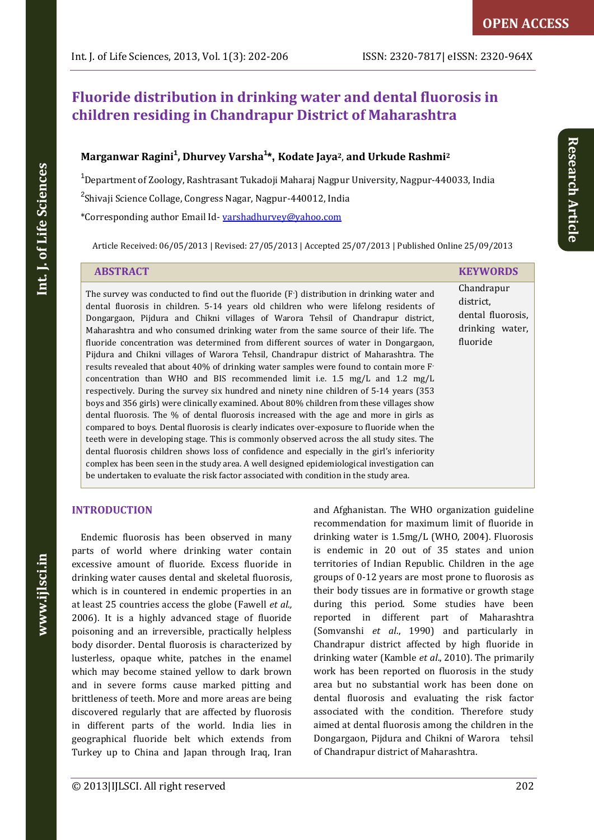# **Fluoride distribution in drinking water and dental fluorosis in children residing in Chandrapur District of Maharashtra**

## **Marganwar Ragini<sup>1</sup> , Dhurvey Varsha<sup>1</sup> \*, Kodate Jaya2**, **and Urkude Rashmi<sup>2</sup>**

<sup>1</sup>Department of Zoology, Rashtrasant Tukadoji Maharaj Nagpur University, Nagpur-440033, India <sup>2</sup>Shivaji Science Collage, Congress Nagar, Nagpur-440012, India

\*Corresponding author Email Id- [varshadhurvey@yahoo.com](mailto:varshadhurvey@yahoo.com) 

Article Received: 06/05/2013 | Revised: 27/05/2013 | Accepted 25/07/2013 | Published Online 25/09/2013

| <b>ABSTRACT</b>                                                                                                                                                                                                                                                                                                                                                                                                                                                                                                                                                                                                                                                                                                                                                                                                                                                                                                                                                                                                                                                                                                                                                                                                                                                                                                                                                                                                                                                                                                     | <b>KEYWORDS</b>                                                             |
|---------------------------------------------------------------------------------------------------------------------------------------------------------------------------------------------------------------------------------------------------------------------------------------------------------------------------------------------------------------------------------------------------------------------------------------------------------------------------------------------------------------------------------------------------------------------------------------------------------------------------------------------------------------------------------------------------------------------------------------------------------------------------------------------------------------------------------------------------------------------------------------------------------------------------------------------------------------------------------------------------------------------------------------------------------------------------------------------------------------------------------------------------------------------------------------------------------------------------------------------------------------------------------------------------------------------------------------------------------------------------------------------------------------------------------------------------------------------------------------------------------------------|-----------------------------------------------------------------------------|
| The survey was conducted to find out the fluoride (F ) distribution in drinking water and<br>dental fluorosis in children. 5-14 years old children who were lifelong residents of<br>Dongargaon, Pijdura and Chikni villages of Warora Tehsil of Chandrapur district,<br>Maharashtra and who consumed drinking water from the same source of their life. The<br>fluoride concentration was determined from different sources of water in Dongargaon,<br>Pijdura and Chikni villages of Warora Tehsil, Chandrapur district of Maharashtra. The<br>results revealed that about 40% of drinking water samples were found to contain more $F2$<br>concentration than WHO and BIS recommended limit i.e. $1.5 \text{ mg/L}$ and $1.2 \text{ mg/L}$<br>respectively. During the survey six hundred and ninety nine children of 5-14 years (353)<br>boys and 356 girls) were clinically examined. About 80% children from these villages show<br>dental fluorosis. The % of dental fluorosis increased with the age and more in girls as<br>compared to boys. Dental fluorosis is clearly indicates over-exposure to fluoride when the<br>teeth were in developing stage. This is commonly observed across the all study sites. The<br>dental fluorosis children shows loss of confidence and especially in the girl's inferiority<br>complex has been seen in the study area. A well designed epidemiological investigation can<br>be undertaken to evaluate the risk factor associated with condition in the study area. | Chandrapur<br>district.<br>dental fluorosis,<br>drinking water,<br>fluoride |

## **INTRODUCTION**

Endemic fluorosis has been observed in many parts of world where drinking water contain excessive amount of fluoride. Excess fluoride in drinking water causes dental and skeletal fluorosis, which is in countered in endemic properties in an at least 25 countries access the globe (Fawell *et al.,* 2006). It is a highly advanced stage of fluoride poisoning and an irreversible, practically helpless body disorder. Dental fluorosis is characterized by lusterless, opaque white, patches in the enamel which may become stained yellow to dark brown and in severe forms cause marked pitting and brittleness of teeth. More and more areas are being discovered regularly that are affected by fluorosis in different parts of the world. India lies in geographical fluoride belt which extends from Turkey up to China and Japan through Iraq, Iran and Afghanistan. The WHO organization guideline recommendation for maximum limit of fluoride in drinking water is 1.5mg/L (WHO, 2004). Fluorosis is endemic in 20 out of 35 states and union territories of Indian Republic. Children in the age groups of 0-12 years are most prone to fluorosis as their body tissues are in formative or growth stage during this period. Some studies have been reported in different part of Maharashtra (Somvanshi *et al*., 1990) and particularly in Chandrapur district affected by high fluoride in drinking water (Kamble *et al*., 2010). The primarily work has been reported on fluorosis in the study area but no substantial work has been done on dental fluorosis and evaluating the risk factor associated with the condition. Therefore study aimed at dental fluorosis among the children in the Dongargaon, Pijdura and Chikni of Warora tehsil of Chandrapur district of Maharashtra.

Int. J. of Life Sciences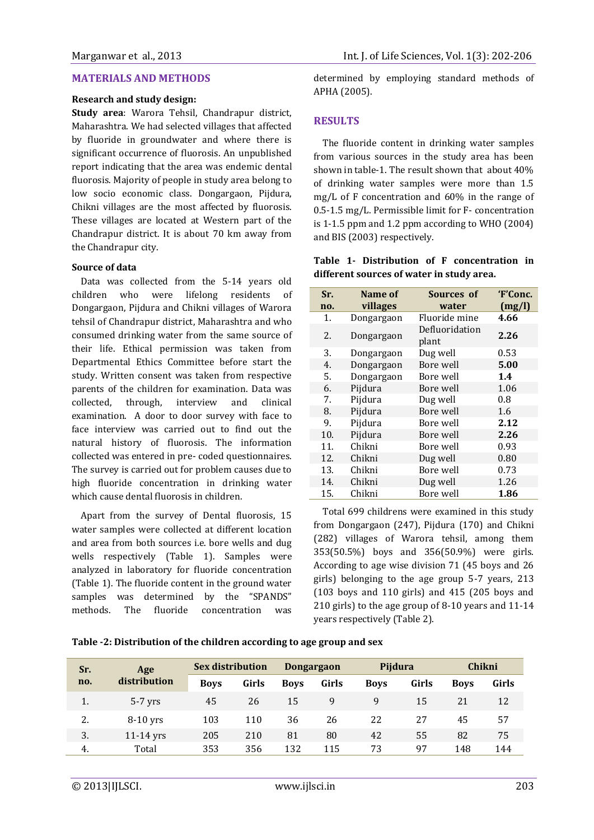#### **MATERIALS AND METHODS**

#### **Research and study design:**

**Study area**: Warora Tehsil, Chandrapur district, Maharashtra. We had selected villages that affected by fluoride in groundwater and where there is significant occurrence of fluorosis. An unpublished report indicating that the area was endemic dental fluorosis. Majority of people in study area belong to low socio economic class. Dongargaon, Pijdura, Chikni villages are the most affected by fluorosis. These villages are located at Western part of the Chandrapur district. It is about 70 km away from the Chandrapur city.

#### **Source of data**

Data was collected from the 5-14 years old children who were lifelong residents of Dongargaon, Pijdura and Chikni villages of Warora tehsil of Chandrapur district, Maharashtra and who consumed drinking water from the same source of their life. Ethical permission was taken from Departmental Ethics Committee before start the study. Written consent was taken from respective parents of the children for examination. Data was collected, through, interview and clinical examination. A door to door survey with face to face interview was carried out to find out the natural history of fluorosis. The information collected was entered in pre- coded questionnaires. The survey is carried out for problem causes due to high fluoride concentration in drinking water which cause dental fluorosis in children.

Apart from the survey of Dental fluorosis, 15 water samples were collected at different location and area from both sources i.e. bore wells and dug wells respectively (Table 1). Samples were analyzed in laboratory for fluoride concentration (Table 1). The fluoride content in the ground water samples was determined by the "SPANDS" methods. The fluoride concentration was

determined by employing standard methods of APHA (2005).

## **RESULTS**

The fluoride content in drinking water samples from various sources in the study area has been shown in table-1. The result shown that about 40% of drinking water samples were more than 1.5 mg/L of F concentration and 60% in the range of 0.5-1.5 mg/L. Permissible limit for F- concentration is 1-1.5 ppm and 1.2 ppm according to WHO (2004) and BIS (2003) respectively.

|  |                                           |  | Table 1- Distribution of F concentration in |  |
|--|-------------------------------------------|--|---------------------------------------------|--|
|  | different sources of water in study area. |  |                                             |  |

| Sr. | Name of    | Sources of              | 'F'Conc. |
|-----|------------|-------------------------|----------|
| no. | villages   | water                   | (mg/l)   |
| 1.  | Dongargaon | Fluoride mine           | 4.66     |
| 2.  | Dongargaon | Defluoridation<br>plant | 2.26     |
| 3.  | Dongargaon | Dug well                | 0.53     |
| 4.  | Dongargaon | Bore well               | 5.00     |
| 5.  | Dongargaon | Bore well               | 1.4      |
| 6.  | Pijdura    | Bore well               | 1.06     |
| 7.  | Pijdura    | Dug well                | 0.8      |
| 8.  | Pijdura    | Bore well               | 1.6      |
| 9.  | Pijdura    | Bore well               | 2.12     |
| 10. | Pijdura    | Bore well               | 2.26     |
| 11. | Chikni     | Bore well               | 0.93     |
| 12. | Chikni     | Dug well                | 0.80     |
| 13. | Chikni     | Bore well               | 0.73     |
| 14. | Chikni     | Dug well                | 1.26     |
| 15. | Chikni     | Bore well               | 1.86     |

Total 699 childrens were examined in this study from Dongargaon (247), Pijdura (170) and Chikni (282) villages of Warora tehsil, among them 353(50.5%) boys and 356(50.9%) were girls. According to age wise division 71 (45 boys and 26 girls) belonging to the age group 5-7 years, 213 (103 boys and 110 girls) and 415 (205 boys and 210 girls) to the age group of 8-10 years and 11-14 years respectively (Table 2).

| Table -2: Distribution of the children according to age group and sex |  |  |  |
|-----------------------------------------------------------------------|--|--|--|
|-----------------------------------------------------------------------|--|--|--|

| Sr.<br>Age |              | <b>Sex distribution</b> |       | <b>Dongargaon</b> |       | Pijdura     |       | Chikni      |       |
|------------|--------------|-------------------------|-------|-------------------|-------|-------------|-------|-------------|-------|
| no.        | distribution | <b>Boys</b>             | Girls | <b>Boys</b>       | Girls | <b>Boys</b> | Girls | <b>Boys</b> | Girls |
| 1.         | $5-7$ yrs    | 45                      | 26    | 15                | 9     | 9           | 15    | 21          | 12    |
| 2.         | $8-10$ yrs   | 103                     | 110   | 36                | 26    | 22          | 27    | 45          | 57    |
| 3.         | $11-14$ yrs  | 205                     | 210   | 81                | 80    | 42          | 55    | 82          | 75    |
| 4.         | Total        | 353                     | 356   | 132               | 115   | 73          | 97    | 148         | 144   |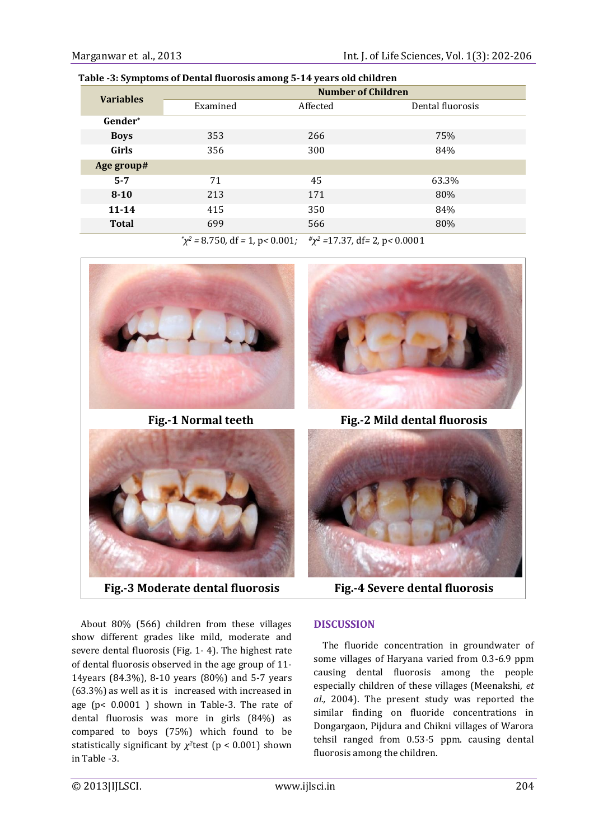| Table -5. Symptoms of Defital huorosis among 5-14 years old children |                           |                                                          |                  |  |  |  |
|----------------------------------------------------------------------|---------------------------|----------------------------------------------------------|------------------|--|--|--|
| <b>Variables</b>                                                     | <b>Number of Children</b> |                                                          |                  |  |  |  |
|                                                                      | Examined                  | Affected                                                 | Dental fluorosis |  |  |  |
| Gender*                                                              |                           |                                                          |                  |  |  |  |
| <b>Boys</b>                                                          | 353                       | 266                                                      | 75%              |  |  |  |
| Girls                                                                | 356                       | 300                                                      | 84%              |  |  |  |
| Age group#                                                           |                           |                                                          |                  |  |  |  |
| $5 - 7$                                                              | 71                        | 45                                                       | 63.3%            |  |  |  |
| $8 - 10$                                                             | 213                       | 171                                                      | 80%              |  |  |  |
| $11 - 14$                                                            | 415                       | 350                                                      | 84%              |  |  |  |
| <b>Total</b>                                                         | 699                       | 566                                                      | 80%              |  |  |  |
|                                                                      |                           | $\frac{\mu}{\mu}$ 2 4 7 9 7 10 $\mu$ 0 0 0 0 0 1 4 $\mu$ |                  |  |  |  |

 **Table -3: Symptoms of Dental fluorosis among 5-14 years old children** 

*\*χ <sup>2</sup> =* 8.750*,* df *=* 1*,* p*<* 0.001*; #χ <sup>2</sup> =*17.37*,* df*=* 2*,* p*<* 0.0001





**Fig.-3 Moderate dental fluorosis Fig.-4 Severe dental fluorosis**



**Fig.-1 Normal teeth Fig.-2 Mild dental fluorosis**



About 80% (566) children from these villages show different grades like mild, moderate and severe dental fluorosis (Fig. 1- 4). The highest rate of dental fluorosis observed in the age group of 11- 14years (84.3%), 8-10 years (80%) and 5-7 years (63.3%) as well as it is increased with increased in age (p< 0.0001 ) shown in Table-3. The rate of dental fluorosis was more in girls (84%) as compared to boys (75%) which found to be statistically significant by  $\chi^2$ test (p < 0.001) shown in Table -3.

## **DISCUSSION**

The fluoride concentration in groundwater of some villages of Haryana varied from 0.3-6.9 ppm causing dental fluorosis among the people especially children of these villages (Meenakshi, *et al.,* 2004). The present study was reported the similar finding on fluoride concentrations in Dongargaon, Pijdura and Chikni villages of Warora tehsil ranged from 0.53-5 ppm. causing dental fluorosis among the children.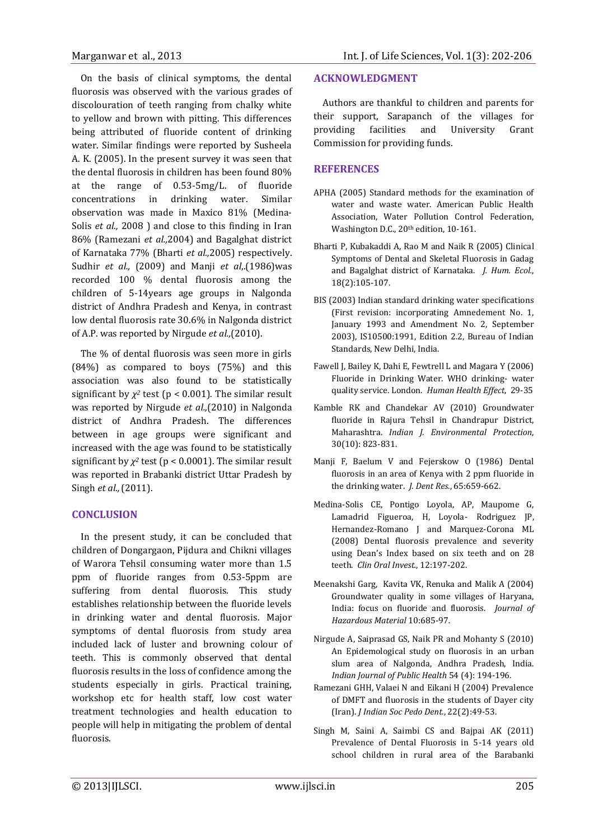On the basis of clinical symptoms, the dental fluorosis was observed with the various grades of discolouration of teeth ranging from chalky white to yellow and brown with pitting. This differences being attributed of fluoride content of drinking water. Similar findings were reported by Susheela A. K. (2005). In the present survey it was seen that the dental fluorosis in children has been found 80% at the range of 0.53-5mg/L. of fluoride concentrations in drinking water. Similar observation was made in Maxico 81% (Medina-Solis *et al.,* 2008 ) and close to this finding in Iran 86% (Ramezani *et al.,*2004) and Bagalghat district of Karnataka 77% (Bharti *et al.,*2005) respectively. Sudhir *et al.,* (2009) and Manji *et al*,.(1986)was recorded 100 % dental fluorosis among the children of 5-14years age groups in Nalgonda district of Andhra Pradesh and Kenya, in contrast low dental fluorosis rate 30.6% in Nalgonda district of A.P. was reported by Nirgude *et al.,*(2010).

The % of dental fluorosis was seen more in girls (84%) as compared to boys (75%) and this association was also found to be statistically significant by  $\chi^2$  test (p < 0.001). The similar result was reported by Nirgude *et al.,*(2010) in Nalgonda district of Andhra Pradesh. The differences between in age groups were significant and increased with the age was found to be statistically significant by  $\chi^2$  test ( $p < 0.0001$ ). The similar result was reported in Brabanki district Uttar Pradesh by Singh *et al.,*(2011).

### **CONCLUSION**

In the present study, it can be concluded that children of Dongargaon, Pijdura and Chikni villages of Warora Tehsil consuming water more than 1.5 ppm of fluoride ranges from 0.53-5ppm are suffering from dental fluorosis. This study establishes relationship between the fluoride levels in drinking water and dental fluorosis. Major symptoms of dental fluorosis from study area included lack of luster and browning colour of teeth. This is commonly observed that dental fluorosis results in the loss of confidence among the students especially in girls. Practical training, workshop etc for health staff, low cost water treatment technologies and health education to people will help in mitigating the problem of dental fluorosis.

#### **ACKNOWLEDGMENT**

Authors are thankful to children and parents for their support, Sarapanch of the villages for providing facilities and University Grant Commission for providing funds.

### **REFERENCES**

- APHA (2005) Standard methods for the examination of water and waste water. American Public Health Association, Water Pollution Control Federation, Washington D.C., 20<sup>th</sup> edition, 10-161.
- Bharti P, Kubakaddi A, Rao M and Naik R (2005) Clinical Symptoms of Dental and Skeletal Fluorosis in Gadag and Bagalghat district of Karnataka. *J. Hum. Ecol.*, 18(2):105-107.
- BIS (2003) Indian standard drinking water specifications (First revision: incorporating Amnedement No. 1, January 1993 and Amendment No. 2, September 2003), IS10500:1991, Edition 2.2, Bureau of Indian Standards, New Delhi, India.
- Fawell J, Bailey K, Dahi E, Fewtrell L and Magara Y (2006) Fluoride in Drinking Water. WHO drinking- water quality service. London. *Human Health Effect*, 29-35
- Kamble RK and Chandekar AV (2010) Groundwater fluoride in Rajura Tehsil in Chandrapur District, Maharashtra. *Indian J. Environmental Protection*, 30(10): 823-831.
- Manji F, Baelum V and Fejerskow O (1986) Dental fluorosis in an area of Kenya with 2 ppm fluoride in the drinking water. *J. Dent Res.*, 65:659-662.
- Medina-Solis CE, Pontigo Loyola, AP, Maupome G, Lamadrid Figueroa, H, Loyola- Rodriguez JP, Hernandez-Romano J and Marquez-Corona ML (2008) Dental fluorosis prevalence and severity using Dean's Index based on six teeth and on 28 teeth. *Clin Oral Invest.*, 12:197-202.
- Meenakshi Garg, Kavita VK, Renuka and Malik A (2004) Groundwater quality in some villages of Haryana, India: focus on fluoride and fluorosis. *Journal of Hazardous Material* 10:685-97.
- Nirgude A, Saiprasad GS, Naik PR and Mohanty S (2010) An Epidemological study on fluorosis in an urban slum area of Nalgonda, Andhra Pradesh, India. *Indian Journal of Public Health* 54 (4): 194-196.
- Ramezani GHH, Valaei N and Eikani H (2004) Prevalence of DMFT and fluorosis in the students of Dayer city (Iran). *J Indian Soc Pedo Dent*., 22(2):49-53.
- Singh M, Saini A, Saimbi CS and Bajpai AK (2011) Prevalence of Dental Fluorosis in 5-14 years old school children in rural area of the Barabanki